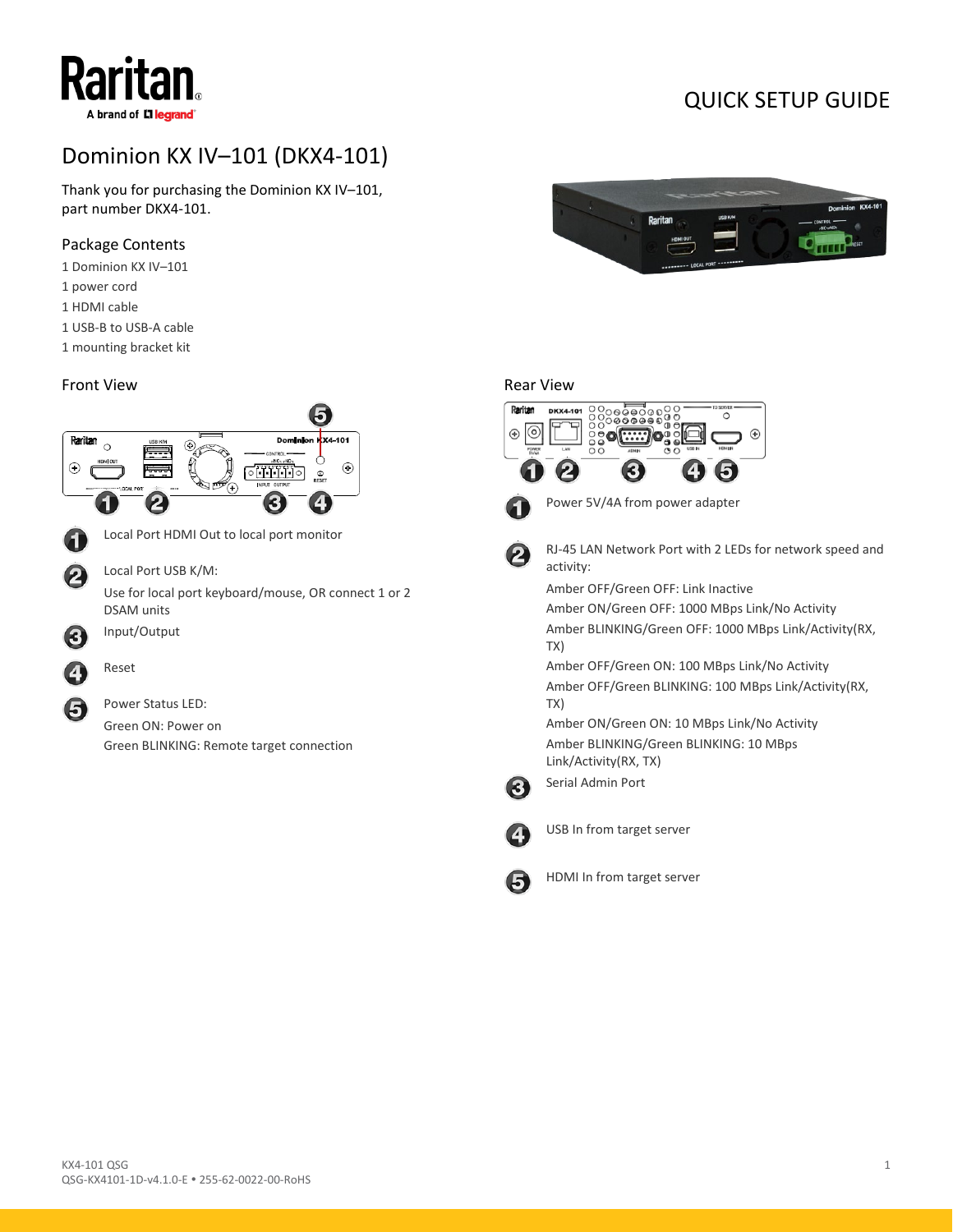# Dominion KX IV–101 (DKX4-101)

Thank you for purchasing the Dominion KX IV–101, part number DKX4-101.

# Package Contents

Raritan

A brand of Lilegrand

- 1 Dominion KX IV–101
- 1 power cord
- 1 HDMI cable
- 1 USB-B to USB-A cable
- 1 mounting bracket kit

### Front View





QUICK SETUP GUIDE

## Rear View





Power 5V/4A from power adapter



RJ-45 LAN Network Port with 2 LEDs for network speed and activity:

Amber OFF/Green OFF: Link Inactive

Amber ON/Green OFF: 1000 MBps Link/No Activity Amber BLINKING/Green OFF: 1000 MBps Link/Activity(RX, TX)

Amber OFF/Green ON: 100 MBps Link/No Activity Amber OFF/Green BLINKING: 100 MBps Link/Activity(RX, TX)

Amber ON/Green ON: 10 MBps Link/No Activity Amber BLINKING/Green BLINKING: 10 MBps Link/Activity(RX, TX)



Serial Admin Port



USB In from target server



HDMI In from target server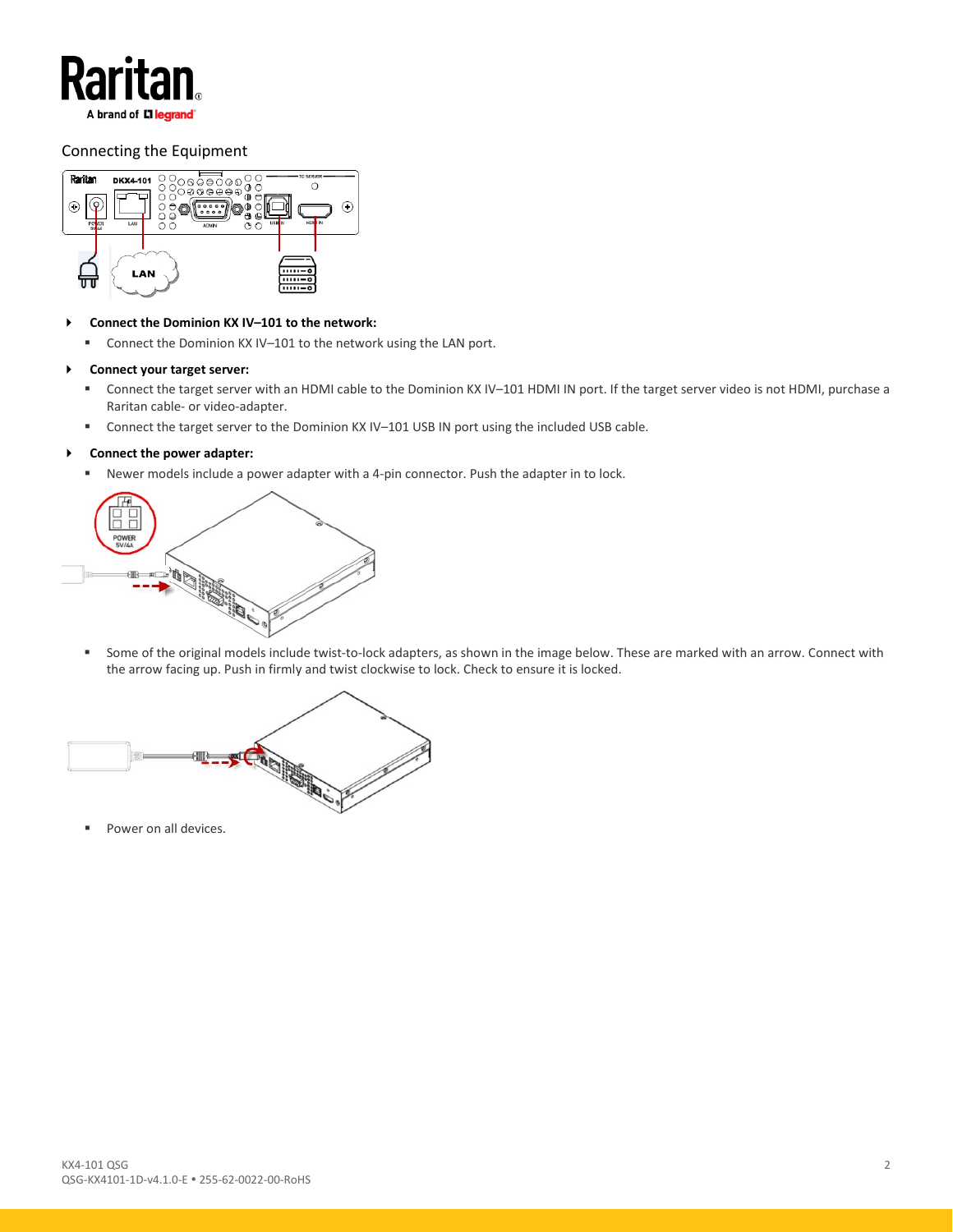

## Connecting the Equipment



#### **Connect the Dominion KX IV–101 to the network:**

■ Connect the Dominion KX IV-101 to the network using the LAN port.

#### **Connect your target server:**

- Connect the target server with an HDMI cable to the Dominion KX IV–101 HDMI IN port. If the target server video is not HDMI, purchase a Raritan cable- or video-adapter.
- Connect the target server to the Dominion KX IV–101 USB IN port using the included USB cable.

#### **Connect the power adapter:**

Newer models include a power adapter with a 4-pin connector. Push the adapter in to lock.

| POWER |  |
|-------|--|
| £,    |  |
|       |  |

 Some of the original models include twist-to-lock adapters, as shown in the image below. These are marked with an arrow. Connect with the arrow facing up. Push in firmly and twist clockwise to lock. Check to ensure it is locked.



Power on all devices.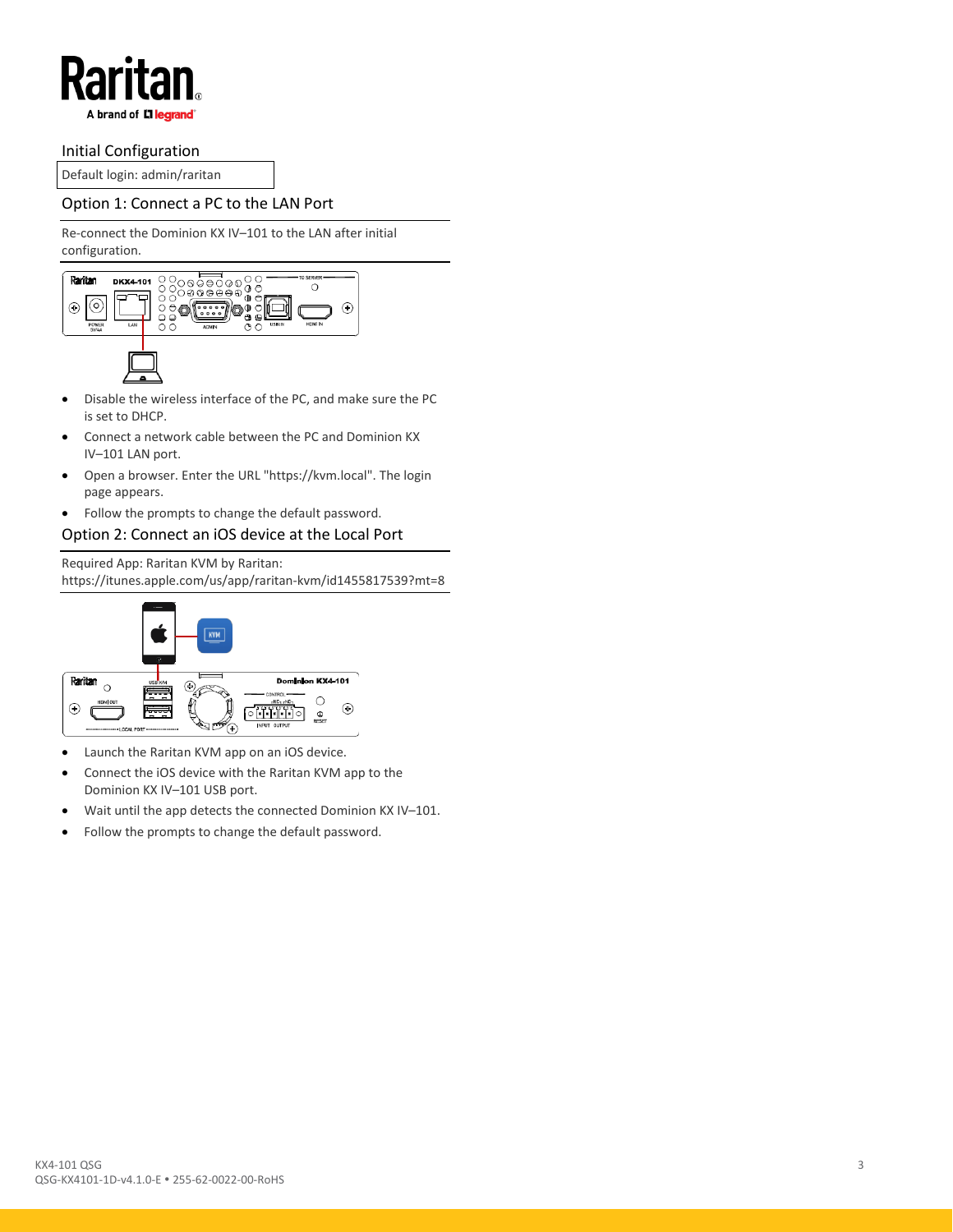

## Initial Configuration

Default login: admin/raritan

## Option 1: Connect a PC to the LAN Port

Re-connect the Dominion KX IV–101 to the LAN after initial configuration.



- Disable the wireless interface of the PC, and make sure the PC is set to DHCP.
- Connect a network cable between the PC and Dominion KX IV–101 LAN port.
- Open a browser. Enter the URL "https://kvm.local". The login page appears.
- Follow the prompts to change the default password.
- Option 2: Connect an iOS device at the Local Port

Required App: Raritan KVM by Raritan: https://itunes.apple.com/us/app/raritan-kvm/id1455817539?mt=8



- Launch the Raritan KVM app on an iOS device.
- Connect the iOS device with the Raritan KVM app to the Dominion KX IV–101 USB port.
- Wait until the app detects the connected Dominion KX IV-101.
- Follow the prompts to change the default password.